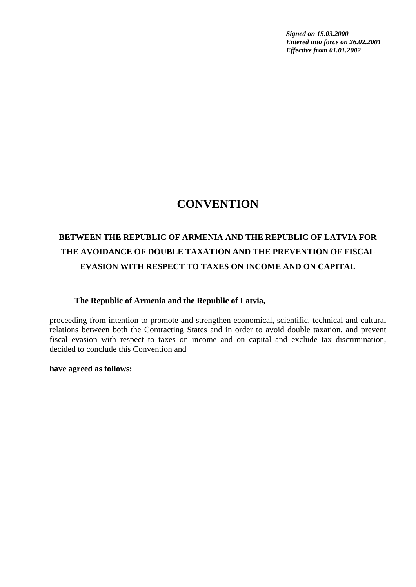*Signed on 15.03.2000 Entered into force on 26.02.2001 Effective from 01.01.2002*

# **CONVENTION**

# **BETWEEN THE REPUBLIC OF ARMENIA AND THE REPUBLIC OF LATVIA FOR THE AVOIDANCE OF DOUBLE TAXATION AND THE PREVENTION OF FISCAL EVASION WITH RESPECT TO TAXES ON INCOME AND ON CAPITAL**

#### **The Republic of Armenia and the Republic of Latvia,**

proceeding from intention to promote and strengthen economical, scientific, technical and cultural relations between both the Contracting States and in order to avoid double taxation, and prevent fiscal evasion with respect to taxes on income and on capital and exclude tax discrimination, decided to conclude this Convention and

**have agreed as follows:**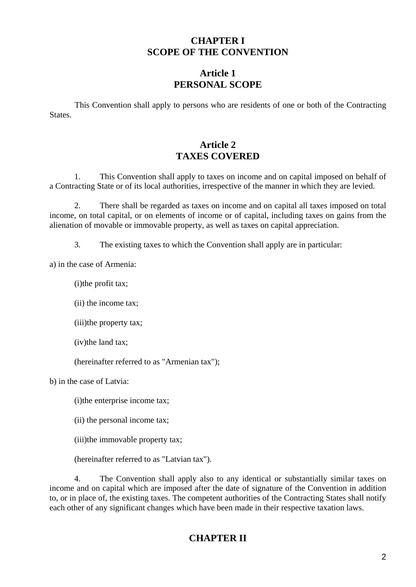## **CHAPTER I SCOPE OF THE CONVENTION**

# **Article 1 PERSONAL SCOPE**

 This Convention shall apply to persons who are residents of one or both of the Contracting States.

# **Article 2 TAXES COVERED**

1. This Convention shall apply to taxes on income and on capital imposed on behalf of a Contracting State or of its local authorities, irrespective of the manner in which they are levied.

2. There shall be regarded as taxes on income and on capital all taxes imposed on total income, on total capital, or on elements of income or of capital, including taxes on gains from the alienation of movable or immovable property, as well as taxes on capital appreciation.

3. The existing taxes to which the Convention shall apply are in particular:

a) in the case of Armenia:

(i)the profit tax;

(ii) the income tax;

(iii)the property tax;

(iv)the land tax;

(hereinafter referred to as "Armenian tax");

b) in the case of Latvia:

(i)the enterprise income tax;

(ii) the personal income tax;

(iii)the immovable property tax;

(hereinafter referred to as "Latvian tax").

4. The Convention shall apply also to any identical or substantially similar taxes on income and on capital which are imposed after the date of signature of the Convention in addition to, or in place of, the existing taxes. The competent authorities of the Contracting States shall notify each other of any significant changes which have been made in their respective taxation laws.

#### **CHAPTER II**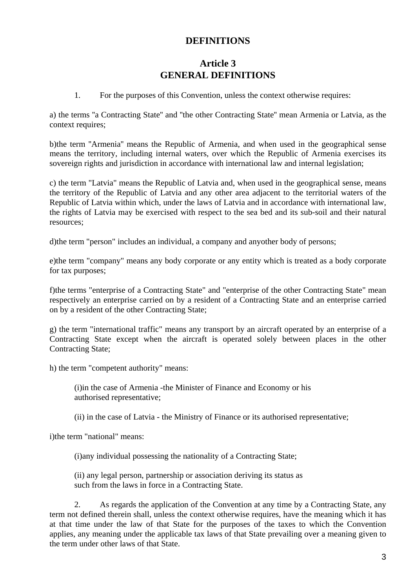## **DEFINITIONS**

# **Article 3 GENERAL DEFINITIONS**

#### 1. For the purposes of this Convention, unless the context otherwise requires:

a) the terms ''a Contracting State'' and ''the other Contracting State'' mean Armenia or Latvia, as the context requires;

b)the term ''Armenia'' means the Republic of Armenia, and when used in the geographical sense means the territory, including internal waters, over which the Republic of Armenia exercises its sovereign rights and jurisdiction in accordance with international law and internal legislation;

c) the term "Latvia" means the Republic of Latvia and, when used in the geographical sense, means the territory of the Republic of Latvia and any other area adjacent to the territorial waters of the Republic of Latvia within which, under the laws of Latvia and in accordance with international law, the rights of Latvia may be exercised with respect to the sea bed and its sub-soil and their natural resources;

d)the term "person" includes an individual, a company and anyother body of persons;

e)the term "company" means any body corporate or any entity which is treated as a body corporate for tax purposes;

f)the terms "enterprise of a Contracting State" and "enterprise of the other Contracting State" mean respectively an enterprise carried on by a resident of a Contracting State and an enterprise carried on by a resident of the other Contracting State;

g) the term "international traffic" means any transport by an aircraft operated by an enterprise of a Contracting State except when the aircraft is operated solely between places in the other Contracting State;

h) the term "competent authority" means:

(i)in the case of Armenia -the Minister of Finance and Economy or his authorised representative;

(ii) in the case of Latvia - the Ministry of Finance or its authorised representative;

i)the term "national" means:

(i)any individual possessing the nationality of a Contracting State;

(ii) any legal person, partnership or association deriving its status as such from the laws in force in a Contracting State.

2. As regards the application of the Convention at any time by a Contracting State, any term not defined therein shall, unless the context otherwise requires, have the meaning which it has at that time under the law of that State for the purposes of the taxes to which the Convention applies, any meaning under the applicable tax laws of that State prevailing over a meaning given to the term under other laws of that State.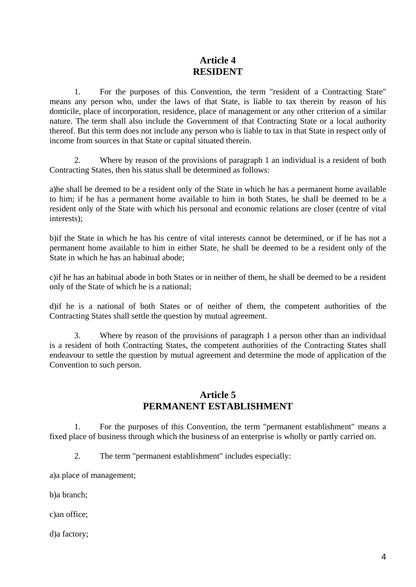# **Article 4 RESIDENT**

1. For the purposes of this Convention, the term "resident of a Contracting State" means any person who, under the laws of that State, is liable to tax therein by reason of his domicile, place of incorporation, residence, place of management or any other criterion of a similar nature. The term shall also include the Government of that Contracting State or a local authority thereof. But this term does not include any person who is liable to tax in that State in respect only of income from sources in that State or capital situated therein.

2. Where by reason of the provisions of paragraph 1 an individual is a resident of both Contracting States, then his status shall be determined as follows:

a)he shall be deemed to be a resident only of the State in which he has a permanent home available to him; if he has a permanent home available to him in both States, he shall be deemed to be a resident only of the State with which his personal and economic relations are closer (centre of vital interests);

b)if the State in which he has his centre of vital interests cannot be determined, or if he has not a permanent home available to him in either State, he shall be deemed to be a resident only of the State in which he has an habitual abode;

c)if he has an habitual abode in both States or in neither of them, he shall be deemed to be a resident only of the State of which he is a national;

d)if he is a national of both States or of neither of them, the competent authorities of the Contracting States shall settle the question by mutual agreement.

3. Where by reason of the provisions of paragraph 1 a person other than an individual is a resident of both Contracting States, the competent authorities of the Contracting States shall endeavour to settle the question by mutual agreement and determine the mode of application of the Convention to such person.

#### **Article 5 PERMANENT ESTABLISHMENT**

1. For the purposes of this Convention, the term "permanent establishment" means a fixed place of business through which the business of an enterprise is wholly or partly carried on.

2. The term "permanent establishment" includes especially:

a)a place of management;

b)a branch;

c)an office;

d)a factory;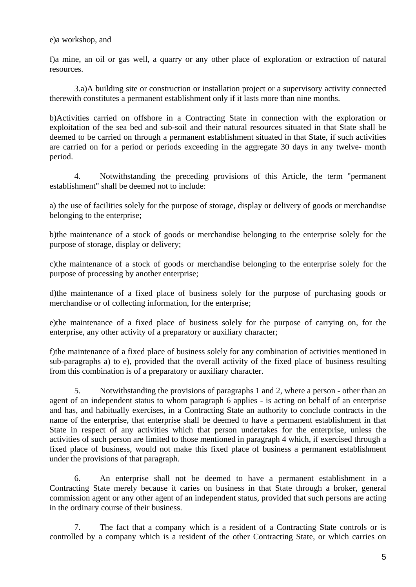e)a workshop, and

f)a mine, an oil or gas well, a quarry or any other place of exploration or extraction of natural resources.

3.a)A building site or construction or installation project or a supervisory activity connected therewith constitutes a permanent establishment only if it lasts more than nine months.

b)Activities carried on offshore in a Contracting State in connection with the exploration or exploitation of the sea bed and sub-soil and their natural resources situated in that State shall be deemed to be carried on through a permanent establishment situated in that State, if such activities are carried on for a period or periods exceeding in the aggregate 30 days in any twelve- month period.

4. Notwithstanding the preceding provisions of this Article, the term "permanent establishment" shall be deemed not to include:

a) the use of facilities solely for the purpose of storage, display or delivery of goods or merchandise belonging to the enterprise;

b)the maintenance of a stock of goods or merchandise belonging to the enterprise solely for the purpose of storage, display or delivery;

c)the maintenance of a stock of goods or merchandise belonging to the enterprise solely for the purpose of processing by another enterprise;

d)the maintenance of a fixed place of business solely for the purpose of purchasing goods or merchandise or of collecting information, for the enterprise;

e)the maintenance of a fixed place of business solely for the purpose of carrying on, for the enterprise, any other activity of a preparatory or auxiliary character;

f)the maintenance of a fixed place of business solely for any combination of activities mentioned in sub-paragraphs a) to e), provided that the overall activity of the fixed place of business resulting from this combination is of a preparatory or auxiliary character.

5. Notwithstanding the provisions of paragraphs 1 and 2, where a person - other than an agent of an independent status to whom paragraph 6 applies - is acting on behalf of an enterprise and has, and habitually exercises, in a Contracting State an authority to conclude contracts in the name of the enterprise, that enterprise shall be deemed to have a permanent establishment in that State in respect of any activities which that person undertakes for the enterprise, unless the activities of such person are limited to those mentioned in paragraph 4 which, if exercised through a fixed place of business, would not make this fixed place of business a permanent establishment under the provisions of that paragraph.

6. An enterprise shall not be deemed to have a permanent establishment in a Contracting State merely because it caries on business in that State through a broker, general commission agent or any other agent of an independent status, provided that such persons are acting in the ordinary course of their business.

7. The fact that a company which is a resident of a Contracting State controls or is controlled by a company which is a resident of the other Contracting State, or which carries on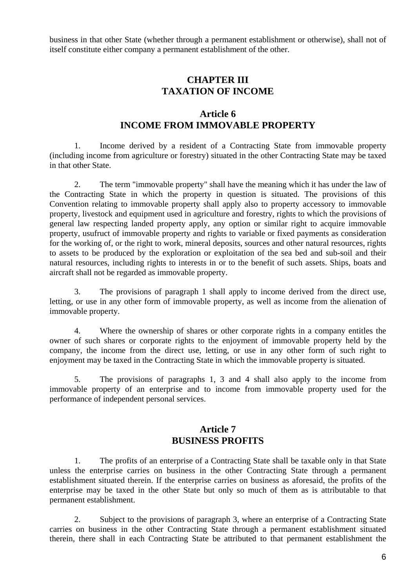business in that other State (whether through a permanent establishment or otherwise), shall not of itself constitute either company a permanent establishment of the other.

## **CHAPTER III TAXATION OF INCOME**

## **Article 6 INCOME FROM IMMOVABLE PROPERTY**

1. Income derived by a resident of a Contracting State from immovable property (including income from agriculture or forestry) situated in the other Contracting State may be taxed in that other State.

2. The term "immovable property" shall have the meaning which it has under the law of the Contracting State in which the property in question is situated. The provisions of this Convention relating to immovable property shall apply also to property accessory to immovable property, livestock and equipment used in agriculture and forestry, rights to which the provisions of general law respecting landed property apply, any option or similar right to acquire immovable property, usufruct of immovable property and rights to variable or fixed payments as consideration for the working of, or the right to work, mineral deposits, sources and other natural resources, rights to assets to be produced by the exploration or exploitation of the sea bed and sub-soil and their natural resources, including rights to interests in or to the benefit of such assets. Ships, boats and aircraft shall not be regarded as immovable property.

3. The provisions of paragraph 1 shall apply to income derived from the direct use, letting, or use in any other form of immovable property, as well as income from the alienation of immovable property.

4. Where the ownership of shares or other corporate rights in a company entitles the owner of such shares or corporate rights to the enjoyment of immovable property held by the company, the income from the direct use, letting, or use in any other form of such right to enjoyment may be taxed in the Contracting State in which the immovable property is situated.

5. The provisions of paragraphs 1, 3 and 4 shall also apply to the income from immovable property of an enterprise and to income from immovable property used for the performance of independent personal services.

# **Article 7 BUSINESS PROFITS**

1. The profits of an enterprise of a Contracting State shall be taxable only in that State unless the enterprise carries on business in the other Contracting State through a permanent establishment situated therein. If the enterprise carries on business as aforesaid, the profits of the enterprise may be taxed in the other State but only so much of them as is attributable to that permanent establishment.

2. Subject to the provisions of paragraph 3, where an enterprise of a Contracting State carries on business in the other Contracting State through a permanent establishment situated therein, there shall in each Contracting State be attributed to that permanent establishment the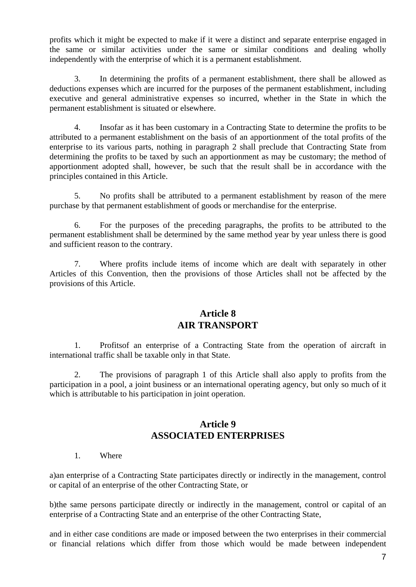profits which it might be expected to make if it were a distinct and separate enterprise engaged in the same or similar activities under the same or similar conditions and dealing wholly independently with the enterprise of which it is a permanent establishment.

3. In determining the profits of a permanent establishment, there shall be allowed as deductions expenses which are incurred for the purposes of the permanent establishment, including executive and general administrative expenses so incurred, whether in the State in which the permanent establishment is situated or elsewhere.

4. Insofar as it has been customary in a Contracting State to determine the profits to be attributed to a permanent establishment on the basis of an apportionment of the total profits of the enterprise to its various parts, nothing in paragraph 2 shall preclude that Contracting State from determining the profits to be taxed by such an apportionment as may be customary; the method of apportionment adopted shall, however, be such that the result shall be in accordance with the principles contained in this Article.

5. No profits shall be attributed to a permanent establishment by reason of the mere purchase by that permanent establishment of goods or merchandise for the enterprise.

6. For the purposes of the preceding paragraphs, the profits to be attributed to the permanent establishment shall be determined by the same method year by year unless there is good and sufficient reason to the contrary.

7. Where profits include items of income which are dealt with separately in other Articles of this Convention, then the provisions of those Articles shall not be affected by the provisions of this Article.

#### **Article 8 AIR TRANSPORT**

1. Profitsof an enterprise of a Contracting State from the operation of aircraft in international traffic shall be taxable only in that State.

2. The provisions of paragraph 1 of this Article shall also apply to profits from the participation in a pool, a joint business or an international operating agency, but only so much of it which is attributable to his participation in joint operation.

# **Article 9 ASSOCIATED ENTERPRISES**

#### 1. Where

a)an enterprise of a Contracting State participates directly or indirectly in the management, control or capital of an enterprise of the other Contracting State, or

b)the same persons participate directly or indirectly in the management, control or capital of an enterprise of a Contracting State and an enterprise of the other Contracting State,

and in either case conditions are made or imposed between the two enterprises in their commercial or financial relations which differ from those which would be made between independent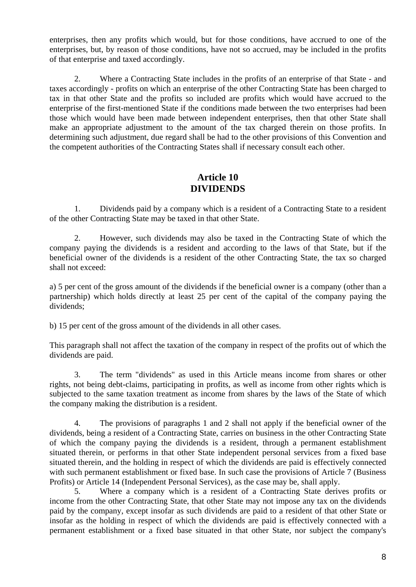enterprises, then any profits which would, but for those conditions, have accrued to one of the enterprises, but, by reason of those conditions, have not so accrued, may be included in the profits of that enterprise and taxed accordingly.

2. Where a Contracting State includes in the profits of an enterprise of that State - and taxes accordingly - profits on which an enterprise of the other Contracting State has been charged to tax in that other State and the profits so included are profits which would have accrued to the enterprise of the first-mentioned State if the conditions made between the two enterprises had been those which would have been made between independent enterprises, then that other State shall make an appropriate adjustment to the amount of the tax charged therein on those profits. In determining such adjustment, due regard shall be had to the other provisions of this Convention and the competent authorities of the Contracting States shall if necessary consult each other.

## **Article 10 DIVIDENDS**

1. Dividends paid by a company which is a resident of a Contracting State to a resident of the other Contracting State may be taxed in that other State.

2. However, such dividends may also be taxed in the Contracting State of which the company paying the dividends is a resident and according to the laws of that State, but if the beneficial owner of the dividends is a resident of the other Contracting State, the tax so charged shall not exceed:

a) 5 per cent of the gross amount of the dividends if the beneficial owner is a company (other than a partnership) which holds directly at least 25 per cent of the capital of the company paying the dividends;

b) 15 per cent of the gross amount of the dividends in all other cases.

This paragraph shall not affect the taxation of the company in respect of the profits out of which the dividends are paid.

3. The term "dividends" as used in this Article means income from shares or other rights, not being debt-claims, participating in profits, as well as income from other rights which is subjected to the same taxation treatment as income from shares by the laws of the State of which the company making the distribution is a resident.

4. The provisions of paragraphs 1 and 2 shall not apply if the beneficial owner of the dividends, being a resident of a Contracting State, carries on business in the other Contracting State of which the company paying the dividends is a resident, through a permanent establishment situated therein, or performs in that other State independent personal services from a fixed base situated therein, and the holding in respect of which the dividends are paid is effectively connected with such permanent establishment or fixed base. In such case the provisions of Article 7 (Business Profits) or Article 14 (Independent Personal Services), as the case may be, shall apply.

5. Where a company which is a resident of a Contracting State derives profits or income from the other Contracting State, that other State may not impose any tax on the dividends paid by the company, except insofar as such dividends are paid to a resident of that other State or insofar as the holding in respect of which the dividends are paid is effectively connected with a permanent establishment or a fixed base situated in that other State, nor subject the company's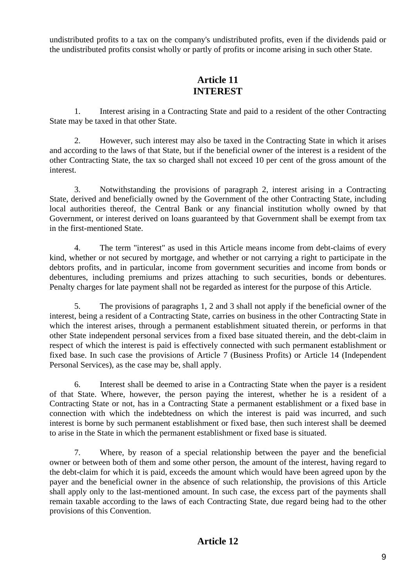undistributed profits to a tax on the company's undistributed profits, even if the dividends paid or the undistributed profits consist wholly or partly of profits or income arising in such other State.

# **Article 11 INTEREST**

1. Interest arising in a Contracting State and paid to a resident of the other Contracting State may be taxed in that other State.

2. However, such interest may also be taxed in the Contracting State in which it arises and according to the laws of that State, but if the beneficial owner of the interest is a resident of the other Contracting State, the tax so charged shall not exceed 10 per cent of the gross amount of the interest.

3. Notwithstanding the provisions of paragraph 2, interest arising in a Contracting State, derived and beneficially owned by the Government of the other Contracting State, including local authorities thereof, the Central Bank or any financial institution wholly owned by that Government, or interest derived on loans guaranteed by that Government shall be exempt from tax in the first-mentioned State.

4. The term "interest" as used in this Article means income from debt-claims of every kind, whether or not secured by mortgage, and whether or not carrying a right to participate in the debtors profits, and in particular, income from government securities and income from bonds or debentures, including premiums and prizes attaching to such securities, bonds or debentures. Penalty charges for late payment shall not be regarded as interest for the purpose of this Article.

5. The provisions of paragraphs 1, 2 and 3 shall not apply if the beneficial owner of the interest, being a resident of a Contracting State, carries on business in the other Contracting State in which the interest arises, through a permanent establishment situated therein, or performs in that other State independent personal services from a fixed base situated therein, and the debt-claim in respect of which the interest is paid is effectively connected with such permanent establishment or fixed base. In such case the provisions of Article 7 (Business Profits) or Article 14 (Independent Personal Services), as the case may be, shall apply.

6. Interest shall be deemed to arise in a Contracting State when the payer is a resident of that State. Where, however, the person paying the interest, whether he is a resident of a Contracting State or not, has in a Contracting State a permanent establishment or a fixed base in connection with which the indebtedness on which the interest is paid was incurred, and such interest is borne by such permanent establishment or fixed base, then such interest shall be deemed to arise in the State in which the permanent establishment or fixed base is situated.

7. Where, by reason of a special relationship between the payer and the beneficial owner or between both of them and some other person, the amount of the interest, having regard to the debt-claim for which it is paid, exceeds the amount which would have been agreed upon by the payer and the beneficial owner in the absence of such relationship, the provisions of this Article shall apply only to the last-mentioned amount. In such case, the excess part of the payments shall remain taxable according to the laws of each Contracting State, due regard being had to the other provisions of this Convention.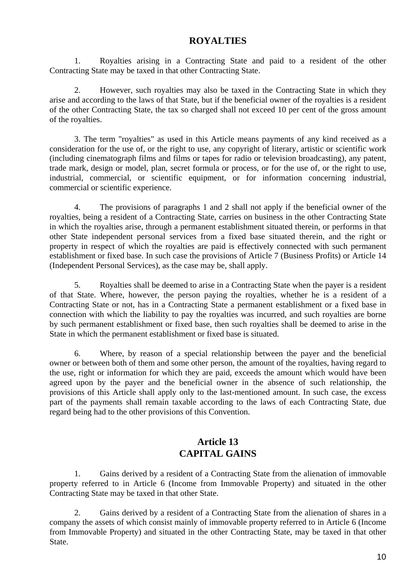#### **ROYALTIES**

1. Royalties arising in a Contracting State and paid to a resident of the other Contracting State may be taxed in that other Contracting State.

2. However, such royalties may also be taxed in the Contracting State in which they arise and according to the laws of that State, but if the beneficial owner of the royalties is a resident of the other Contracting State, the tax so charged shall not exceed 10 per cent of the gross amount of the royalties.

3. The term "royalties" as used in this Article means payments of any kind received as a consideration for the use of, or the right to use, any copyright of literary, artistic or scientific work (including cinematograph films and films or tapes for radio or television broadcasting), any patent, trade mark, design or model, plan, secret formula or process, or for the use of, or the right to use, industrial, commercial, or scientific equipment, or for information concerning industrial, commercial or scientific experience.

4. The provisions of paragraphs 1 and 2 shall not apply if the beneficial owner of the royalties, being a resident of a Contracting State, carries on business in the other Contracting State in which the royalties arise, through a permanent establishment situated therein, or performs in that other State independent personal services from a fixed base situated therein, and the right or property in respect of which the royalties are paid is effectively connected with such permanent establishment or fixed base. In such case the provisions of Article 7 (Business Profits) or Article 14 (Independent Personal Services), as the case may be, shall apply.

5. Royalties shall be deemed to arise in a Contracting State when the payer is a resident of that State. Where, however, the person paying the royalties, whether he is a resident of a Contracting State or not, has in a Contracting State a permanent establishment or a fixed base in connection with which the liability to pay the royalties was incurred, and such royalties are borne by such permanent establishment or fixed base, then such royalties shall be deemed to arise in the State in which the permanent establishment or fixed base is situated.

6. Where, by reason of a special relationship between the payer and the beneficial owner or between both of them and some other person, the amount of the royalties, having regard to the use, right or information for which they are paid, exceeds the amount which would have been agreed upon by the payer and the beneficial owner in the absence of such relationship, the provisions of this Article shall apply only to the last-mentioned amount. In such case, the excess part of the payments shall remain taxable according to the laws of each Contracting State, due regard being had to the other provisions of this Convention.

# **Article 13 CAPITAL GAINS**

1. Gains derived by a resident of a Contracting State from the alienation of immovable property referred to in Article 6 (Income from Immovable Property) and situated in the other Contracting State may be taxed in that other State.

2. Gains derived by a resident of a Contracting State from the alienation of shares in a company the assets of which consist mainly of immovable property referred to in Article 6 (Income from Immovable Property) and situated in the other Contracting State, may be taxed in that other State.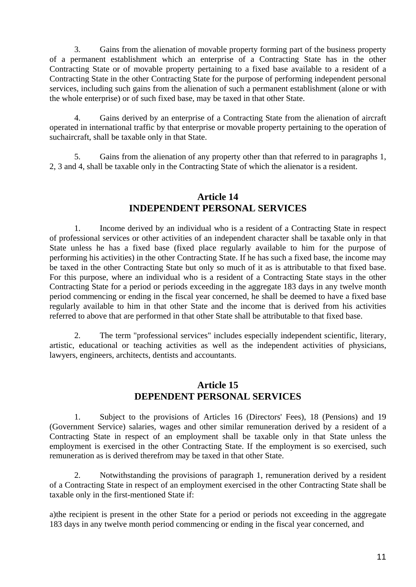3. Gains from the alienation of movable property forming part of the business property of a permanent establishment which an enterprise of a Contracting State has in the other Contracting State or of movable property pertaining to a fixed base available to a resident of a Contracting State in the other Contracting State for the purpose of performing independent personal services, including such gains from the alienation of such a permanent establishment (alone or with the whole enterprise) or of such fixed base, may be taxed in that other State.

4. Gains derived by an enterprise of a Contracting State from the alienation of aircraft operated in international traffic by that enterprise or movable property pertaining to the operation of suchaircraft, shall be taxable only in that State.

5. Gains from the alienation of any property other than that referred to in paragraphs 1, 2, 3 and 4, shall be taxable only in the Contracting State of which the alienator is a resident.

#### **Article 14 INDEPENDENT PERSONAL SERVICES**

1. Income derived by an individual who is a resident of a Contracting State in respect of professional services or other activities of an independent character shall be taxable only in that State unless he has a fixed base (fixed place regularly available to him for the purpose of performing his activities) in the other Contracting State. If he has such a fixed base, the income may be taxed in the other Contracting State but only so much of it as is attributable to that fixed base. For this purpose, where an individual who is a resident of a Contracting State stays in the other Contracting State for a period or periods exceeding in the aggregate 183 days in any twelve month period commencing or ending in the fiscal year concerned, he shall be deemed to have a fixed base regularly available to him in that other State and the income that is derived from his activities referred to above that are performed in that other State shall be attributable to that fixed base.

2. The term "professional services" includes especially independent scientific, literary, artistic, educational or teaching activities as well as the independent activities of physicians, lawyers, engineers, architects, dentists and accountants.

#### **Article 15 DEPENDENT PERSONAL SERVICES**

1. Subject to the provisions of Articles 16 (Directors' Fees), 18 (Pensions) and 19 (Government Service) salaries, wages and other similar remuneration derived by a resident of a Contracting State in respect of an employment shall be taxable only in that State unless the employment is exercised in the other Contracting State. If the employment is so exercised, such remuneration as is derived therefrom may be taxed in that other State.

2. Notwithstanding the provisions of paragraph 1, remuneration derived by a resident of a Contracting State in respect of an employment exercised in the other Contracting State shall be taxable only in the first-mentioned State if:

a)the recipient is present in the other State for a period or periods not exceeding in the aggregate 183 days in any twelve month period commencing or ending in the fiscal year concerned, and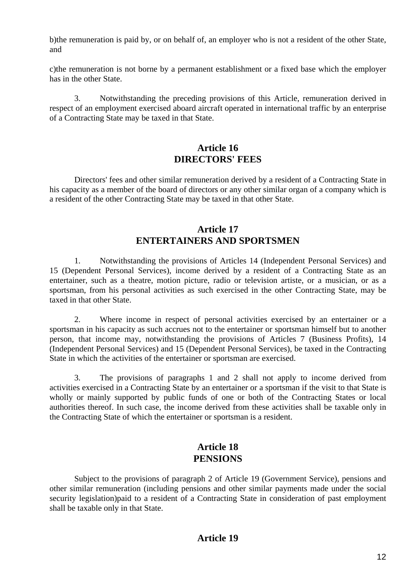b)the remuneration is paid by, or on behalf of, an employer who is not a resident of the other State, and

c)the remuneration is not borne by a permanent establishment or a fixed base which the employer has in the other State.

3. Notwithstanding the preceding provisions of this Article, remuneration derived in respect of an employment exercised aboard aircraft operated in international traffic by an enterprise of a Contracting State may be taxed in that State.

## **Article 16 DIRECTORS' FEES**

Directors' fees and other similar remuneration derived by a resident of a Contracting State in his capacity as a member of the board of directors or any other similar organ of a company which is a resident of the other Contracting State may be taxed in that other State.

## **Article 17 ENTERTAINERS AND SPORTSMEN**

1. Notwithstanding the provisions of Articles 14 (Independent Personal Services) and 15 (Dependent Personal Services), income derived by a resident of a Contracting State as an entertainer, such as a theatre, motion picture, radio or television artiste, or a musician, or as a sportsman, from his personal activities as such exercised in the other Contracting State, may be taxed in that other State.

2. Where income in respect of personal activities exercised by an entertainer or a sportsman in his capacity as such accrues not to the entertainer or sportsman himself but to another person, that income may, notwithstanding the provisions of Articles 7 (Business Profits), 14 (Independent Personal Services) and 15 (Dependent Personal Services), be taxed in the Contracting State in which the activities of the entertainer or sportsman are exercised.

3. The provisions of paragraphs 1 and 2 shall not apply to income derived from activities exercised in a Contracting State by an entertainer or a sportsman if the visit to that State is wholly or mainly supported by public funds of one or both of the Contracting States or local authorities thereof. In such case, the income derived from these activities shall be taxable only in the Contracting State of which the entertainer or sportsman is a resident.

#### **Article 18 PENSIONS**

Subject to the provisions of paragraph 2 of Article 19 (Government Service), pensions and other similar remuneration (including pensions and other similar payments made under the social security legislation)paid to a resident of a Contracting State in consideration of past employment shall be taxable only in that State.

#### **Article 19**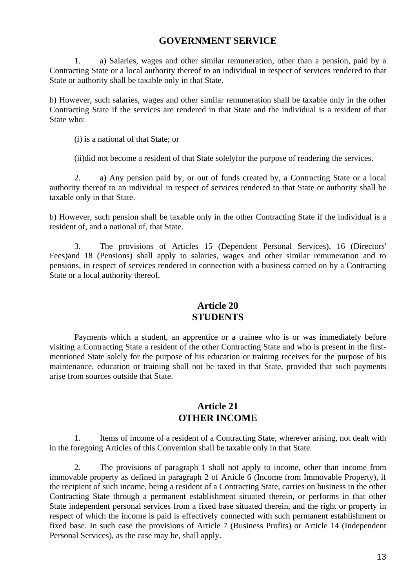#### **GOVERNMENT SERVICE**

1. a) Salaries, wages and other similar remuneration, other than a pension, paid by a Contracting State or a local authority thereof to an individual in respect of services rendered to that State or authority shall be taxable only in that State.

b) However, such salaries, wages and other similar remuneration shall be taxable only in the other Contracting State if the services are rendered in that State and the individual is a resident of that State who:

(i) is a national of that State; or

(ii)did not become a resident of that State solelyfor the purpose of rendering the services.

2. a) Any pension paid by, or out of funds created by, a Contracting State or a local authority thereof to an individual in respect of services rendered to that State or authority shall be taxable only in that State.

b) However, such pension shall be taxable only in the other Contracting State if the individual is a resident of, and a national of, that State.

3. The provisions of Articles 15 (Dependent Personal Services), 16 (Directors' Fees)and 18 (Pensions) shall apply to salaries, wages and other similar remuneration and to pensions, in respect of services rendered in connection with a business carried on by a Contracting State or a local authority thereof.

#### **Article 20 STUDENTS**

Payments which a student, an apprentice or a trainee who is or was immediately before visiting a Contracting State a resident of the other Contracting State and who is present in the firstmentioned State solely for the purpose of his education or training receives for the purpose of his maintenance, education or training shall not be taxed in that State, provided that such payments arise from sources outside that State.

#### **Article 21 OTHER INCOME**

1. Items of income of a resident of a Contracting State, wherever arising, not dealt with in the foregoing Articles of this Convention shall be taxable only in that State.

2. The provisions of paragraph 1 shall not apply to income, other than income from immovable property as defined in paragraph 2 of Article 6 (Income from Immovable Property), if the recipient of such income, being a resident of a Contracting State, carries on business in the other Contracting State through a permanent establishment situated therein, or performs in that other State independent personal services from a fixed base situated therein, and the right or property in respect of which the income is paid is effectively connected with such permanent establishment or fixed base. In such case the provisions of Article 7 (Business Profits) or Article 14 (Independent Personal Services), as the case may be, shall apply.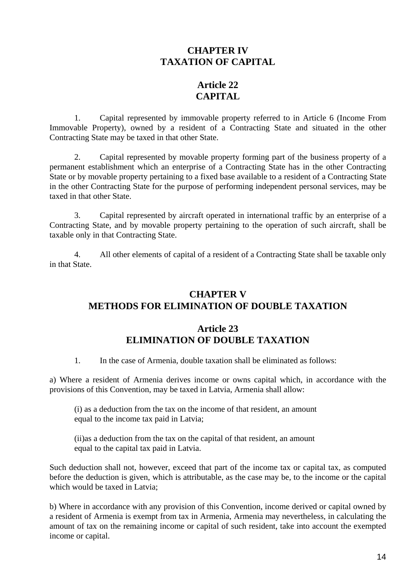# **CHAPTER IV TAXATION OF CAPITAL**

# **Article 22 CAPITAL**

1. Capital represented by immovable property referred to in Article 6 (Income From Immovable Property), owned by a resident of a Contracting State and situated in the other Contracting State may be taxed in that other State.

2. Capital represented by movable property forming part of the business property of a permanent establishment which an enterprise of a Contracting State has in the other Contracting State or by movable property pertaining to a fixed base available to a resident of a Contracting State in the other Contracting State for the purpose of performing independent personal services, may be taxed in that other State.

3. Capital represented by aircraft operated in international traffic by an enterprise of a Contracting State, and by movable property pertaining to the operation of such aircraft, shall be taxable only in that Contracting State.

4. All other elements of capital of a resident of a Contracting State shall be taxable only in that State.

# **CHAPTER V METHODS FOR ELIMINATION OF DOUBLE TAXATION**

#### **Article 23 ELIMINATION OF DOUBLE TAXATION**

1. In the case of Armenia, double taxation shall be eliminated as follows:

a) Where a resident of Armenia derives income or owns capital which, in accordance with the provisions of this Convention, may be taxed in Latvia, Armenia shall allow:

(i) as a deduction from the tax on the income of that resident, an amount equal to the income tax paid in Latvia;

(ii)as a deduction from the tax on the capital of that resident, an amount equal to the capital tax paid in Latvia.

Such deduction shall not, however, exceed that part of the income tax or capital tax, as computed before the deduction is given, which is attributable, as the case may be, to the income or the capital which would be taxed in Latvia;

b) Where in accordance with any provision of this Convention, income derived or capital owned by a resident of Armenia is exempt from tax in Armenia, Armenia may nevertheless, in calculating the amount of tax on the remaining income or capital of such resident, take into account the exempted income or capital.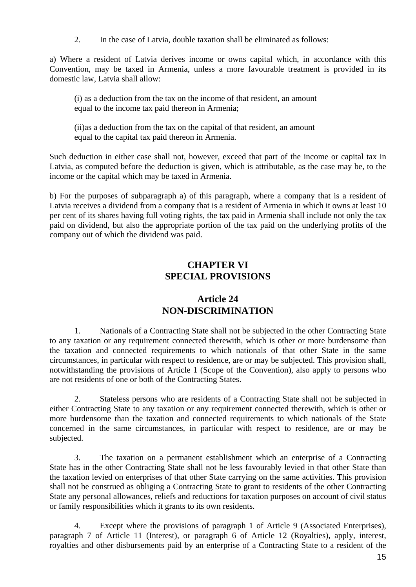2. In the case of Latvia, double taxation shall be eliminated as follows:

a) Where a resident of Latvia derives income or owns capital which, in accordance with this Convention, may be taxed in Armenia, unless a more favourable treatment is provided in its domestic law, Latvia shall allow:

(i) as a deduction from the tax on the income of that resident, an amount equal to the income tax paid thereon in Armenia;

(ii)as a deduction from the tax on the capital of that resident, an amount equal to the capital tax paid thereon in Armenia.

Such deduction in either case shall not, however, exceed that part of the income or capital tax in Latvia, as computed before the deduction is given, which is attributable, as the case may be, to the income or the capital which may be taxed in Armenia.

b) For the purposes of subparagraph a) of this paragraph, where a company that is a resident of Latvia receives a dividend from a company that is a resident of Armenia in which it owns at least 10 per cent of its shares having full voting rights, the tax paid in Armenia shall include not only the tax paid on dividend, but also the appropriate portion of the tax paid on the underlying profits of the company out of which the dividend was paid.

# **CHAPTER VI SPECIAL PROVISIONS**

# **Article 24 NON-DISCRIMINATION**

1. Nationals of a Contracting State shall not be subjected in the other Contracting State to any taxation or any requirement connected therewith, which is other or more burdensome than the taxation and connected requirements to which nationals of that other State in the same circumstances, in particular with respect to residence, are or may be subjected. This provision shall, notwithstanding the provisions of Article 1 (Scope of the Convention), also apply to persons who are not residents of one or both of the Contracting States.

2. Stateless persons who are residents of a Contracting State shall not be subjected in either Contracting State to any taxation or any requirement connected therewith, which is other or more burdensome than the taxation and connected requirements to which nationals of the State concerned in the same circumstances, in particular with respect to residence, are or may be subjected.

3. The taxation on a permanent establishment which an enterprise of a Contracting State has in the other Contracting State shall not be less favourably levied in that other State than the taxation levied on enterprises of that other State carrying on the same activities. This provision shall not be construed as obliging a Contracting State to grant to residents of the other Contracting State any personal allowances, reliefs and reductions for taxation purposes on account of civil status or family responsibilities which it grants to its own residents.

4. Except where the provisions of paragraph 1 of Article 9 (Associated Enterprises), paragraph 7 of Article 11 (Interest), or paragraph 6 of Article 12 (Royalties), apply, interest, royalties and other disbursements paid by an enterprise of a Contracting State to a resident of the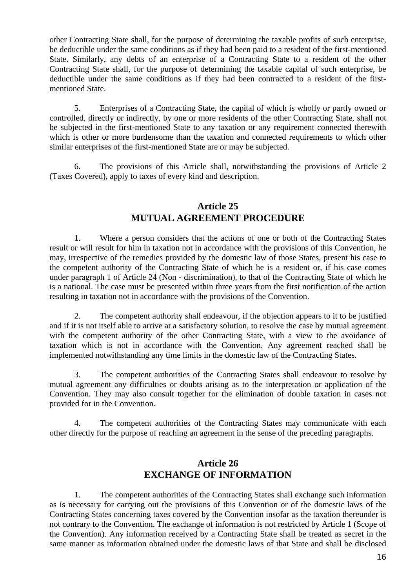other Contracting State shall, for the purpose of determining the taxable profits of such enterprise, be deductible under the same conditions as if they had been paid to a resident of the first-mentioned State. Similarly, any debts of an enterprise of a Contracting State to a resident of the other Contracting State shall, for the purpose of determining the taxable capital of such enterprise, be deductible under the same conditions as if they had been contracted to a resident of the firstmentioned State.

5. Enterprises of a Contracting State, the capital of which is wholly or partly owned or controlled, directly or indirectly, by one or more residents of the other Contracting State, shall not be subjected in the first-mentioned State to any taxation or any requirement connected therewith which is other or more burdensome than the taxation and connected requirements to which other similar enterprises of the first-mentioned State are or may be subjected.

6. The provisions of this Article shall, notwithstanding the provisions of Article 2 (Taxes Covered), apply to taxes of every kind and description.

## **Article 25 MUTUAL AGREEMENT PROCEDURE**

1. Where a person considers that the actions of one or both of the Contracting States result or will result for him in taxation not in accordance with the provisions of this Convention, he may, irrespective of the remedies provided by the domestic law of those States, present his case to the competent authority of the Contracting State of which he is a resident or, if his case comes under paragraph 1 of Article 24 (Non - discrimination), to that of the Contracting State of which he is a national. The case must be presented within three years from the first notification of the action resulting in taxation not in accordance with the provisions of the Convention.

2. The competent authority shall endeavour, if the objection appears to it to be justified and if it is not itself able to arrive at a satisfactory solution, to resolve the case by mutual agreement with the competent authority of the other Contracting State, with a view to the avoidance of taxation which is not in accordance with the Convention. Any agreement reached shall be implemented notwithstanding any time limits in the domestic law of the Contracting States.

3. The competent authorities of the Contracting States shall endeavour to resolve by mutual agreement any difficulties or doubts arising as to the interpretation or application of the Convention. They may also consult together for the elimination of double taxation in cases not provided for in the Convention.

4. The competent authorities of the Contracting States may communicate with each other directly for the purpose of reaching an agreement in the sense of the preceding paragraphs.

# **Article 26 EXCHANGE OF INFORMATION**

1. The competent authorities of the Contracting States shall exchange such information as is necessary for carrying out the provisions of this Convention or of the domestic laws of the Contracting States concerning taxes covered by the Convention insofar as the taxation thereunder is not contrary to the Convention. The exchange of information is not restricted by Article 1 (Scope of the Convention). Any information received by a Contracting State shall be treated as secret in the same manner as information obtained under the domestic laws of that State and shall be disclosed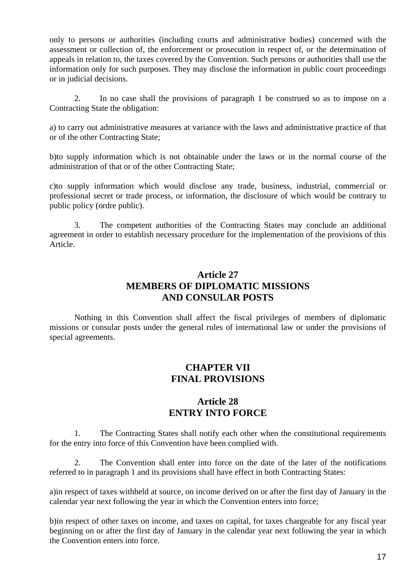only to persons or authorities (including courts and administrative bodies) concerned with the assessment or collection of, the enforcement or prosecution in respect of, or the determination of appeals in relation to, the taxes covered by the Convention. Such persons or authorities shall use the information only for such purposes. They may disclose the information in public court proceedings or in judicial decisions.

2. In no case shall the provisions of paragraph 1 be construed so as to impose on a Contracting State the obligation:

a) to carry out administrative measures at variance with the laws and administrative practice of that or of the other Contracting State;

b)to supply information which is not obtainable under the laws or in the normal course of the administration of that or of the other Contracting State;

c)to supply information which would disclose any trade, business, industrial, commercial or professional secret or trade process, or information, the disclosure of which would be contrary to public policy (ordre public).

3. The competent authorities of the Contracting States may conclude an additional agreement in order to establish necessary procedure for the implementation of the provisions of this Article.

# **Article 27 MEMBERS OF DIPLOMATIC MISSIONS AND CONSULAR POSTS**

Nothing in this Convention shall affect the fiscal privileges of members of diplomatic missions or consular posts under the general rules of international law or under the provisions of special agreements.

# **CHAPTER VII FINAL PROVISIONS**

# **Article 28 ENTRY INTO FORCE**

1. The Contracting States shall notify each other when the constitutional requirements for the entry into force of this Convention have been complied with.

2. The Convention shall enter into force on the date of the later of the notifications referred to in paragraph 1 and its provisions shall have effect in both Contracting States:

a)in respect of taxes withheld at source, on income derived on or after the first day of January in the calendar year next following the year in which the Convention enters into force;

b)in respect of other taxes on income, and taxes on capital, for taxes chargeable for any fiscal year beginning on or after the first day of January in the calendar year next following the year in which the Convention enters into force.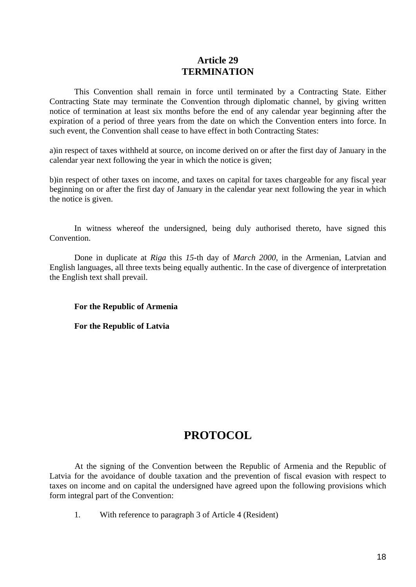#### **Article 29 TERMINATION**

This Convention shall remain in force until terminated by a Contracting State. Either Contracting State may terminate the Convention through diplomatic channel, by giving written notice of termination at least six months before the end of any calendar year beginning after the expiration of a period of three years from the date on which the Convention enters into force. In such event, the Convention shall cease to have effect in both Contracting States:

a)in respect of taxes withheld at source, on income derived on or after the first day of January in the calendar year next following the year in which the notice is given;

b)in respect of other taxes on income, and taxes on capital for taxes chargeable for any fiscal year beginning on or after the first day of January in the calendar year next following the year in which the notice is given.

In witness whereof the undersigned, being duly authorised thereto, have signed this Convention.

Done in duplicate at *Riga* this *15-*th day of *March 2000*, in the Armenian, Latvian and English languages, all three texts being equally authentic. In the case of divergence of interpretation the English text shall prevail.

**For the Republic of Armenia** 

**For the Republic of Latvia** 

# **PROTOCOL**

 At the signing of the Convention between the Republic of Armenia and the Republic of Latvia for the avoidance of double taxation and the prevention of fiscal evasion with respect to taxes on income and on capital the undersigned have agreed upon the following provisions which form integral part of the Convention:

1. With reference to paragraph 3 of Article 4 (Resident)